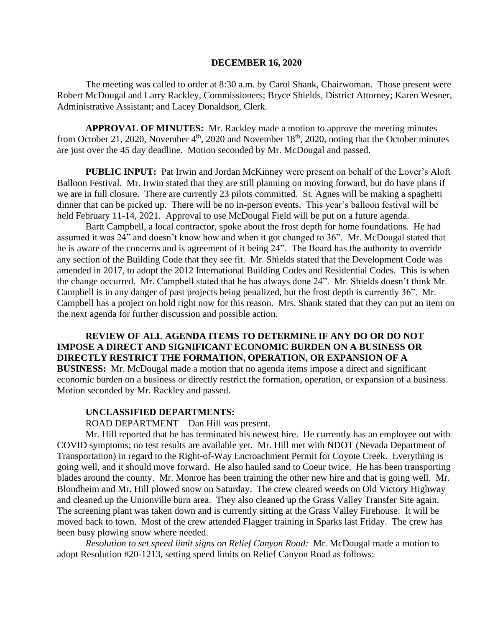### **DECEMBER 16, 2020**

The meeting was called to order at 8:30 a.m. by Carol Shank, Chairwoman. Those present were Robert McDougal and Larry Rackley, Commissioners; Bryce Shields, District Attorney; Karen Wesner, Administrative Assistant; and Lacey Donaldson, Clerk.

**APPROVAL OF MINUTES:** Mr. Rackley made a motion to approve the meeting minutes from October 21, 2020, November  $4<sup>th</sup>$ , 2020 and November 18<sup>th</sup>, 2020, noting that the October minutes are just over the 45 day deadline. Motion seconded by Mr. McDougal and passed.

**PUBLIC INPUT:** Pat Irwin and Jordan McKinney were present on behalf of the Lover's Aloft Balloon Festival. Mr. Irwin stated that they are still planning on moving forward, but do have plans if we are in full closure. There are currently 23 pilots committed. St. Agnes will be making a spaghetti dinner that can be picked up. There will be no in-person events. This year's balloon festival will be held February 11-14, 2021. Approval to use McDougal Field will be put on a future agenda.

Bartt Campbell, a local contractor, spoke about the frost depth for home foundations. He had assumed it was 24" and doesn't know how and when it got changed to 36". Mr. McDougal stated that he is aware of the concerns and is agreement of it being 24". The Board has the authority to override any section of the Building Code that they see fit. Mr. Shields stated that the Development Code was amended in 2017, to adopt the 2012 International Building Codes and Residential Codes. This is when the change occurred. Mr. Campbell stated that he has always done 24". Mr. Shields doesn't think Mr. Campbell is in any danger of past projects being penalized, but the frost depth is currently 36". Mr. Campbell has a project on hold right now for this reason. Mrs. Shank stated that they can put an item on the next agenda for further discussion and possible action.

**REVIEW OF ALL AGENDA ITEMS TO DETERMINE IF ANY DO OR DO NOT IMPOSE A DIRECT AND SIGNIFICANT ECONOMIC BURDEN ON A BUSINESS OR DIRECTLY RESTRICT THE FORMATION, OPERATION, OR EXPANSION OF A BUSINESS:** Mr. McDougal made a motion that no agenda items impose a direct and significant economic burden on a business or directly restrict the formation, operation, or expansion of a business. Motion seconded by Mr. Rackley and passed.

### **UNCLASSIFIED DEPARTMENTS:**

ROAD DEPARTMENT – Dan Hill was present.

Mr. Hill reported that he has terminated his newest hire. He currently has an employee out with COVID symptoms; no test results are available yet. Mr. Hill met with NDOT (Nevada Department of Transportation) in regard to the Right-of-Way Encroachment Permit for Coyote Creek. Everything is going well, and it should move forward. He also hauled sand to Coeur twice. He has been transporting blades around the county. Mr. Monroe has been training the other new hire and that is going well. Mr. Blondheim and Mr. Hill plowed snow on Saturday. The crew cleared weeds on Old Victory Highway and cleaned up the Unionville burn area. They also cleaned up the Grass Valley Transfer Site again. The screening plant was taken down and is currently sitting at the Grass Valley Firehouse. It will be moved back to town. Most of the crew attended Flagger training in Sparks last Friday. The crew has been busy plowing snow where needed.

*Resolution to set speed limit signs on Relief Canyon Road:* Mr. McDougal made a motion to adopt Resolution #20-1213, setting speed limits on Relief Canyon Road as follows: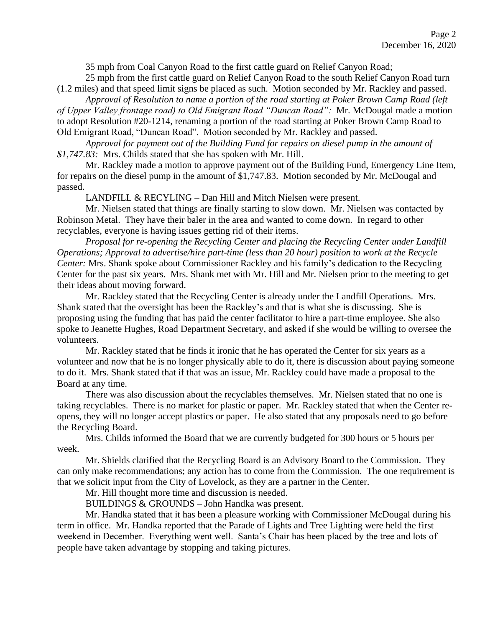35 mph from Coal Canyon Road to the first cattle guard on Relief Canyon Road;

25 mph from the first cattle guard on Relief Canyon Road to the south Relief Canyon Road turn (1.2 miles) and that speed limit signs be placed as such. Motion seconded by Mr. Rackley and passed.

*Approval of Resolution to name a portion of the road starting at Poker Brown Camp Road (left of Upper Valley frontage road) to Old Emigrant Road "Duncan Road":* Mr. McDougal made a motion to adopt Resolution #20-1214, renaming a portion of the road starting at Poker Brown Camp Road to Old Emigrant Road, "Duncan Road". Motion seconded by Mr. Rackley and passed.

*Approval for payment out of the Building Fund for repairs on diesel pump in the amount of \$1,747.83:* Mrs. Childs stated that she has spoken with Mr. Hill.

Mr. Rackley made a motion to approve payment out of the Building Fund, Emergency Line Item, for repairs on the diesel pump in the amount of \$1,747.83. Motion seconded by Mr. McDougal and passed.

LANDFILL & RECYLING – Dan Hill and Mitch Nielsen were present.

Mr. Nielsen stated that things are finally starting to slow down. Mr. Nielsen was contacted by Robinson Metal. They have their baler in the area and wanted to come down. In regard to other recyclables, everyone is having issues getting rid of their items.

*Proposal for re-opening the Recycling Center and placing the Recycling Center under Landfill Operations; Approval to advertise/hire part-time (less than 20 hour) position to work at the Recycle Center:* Mrs. Shank spoke about Commissioner Rackley and his family's dedication to the Recycling Center for the past six years. Mrs. Shank met with Mr. Hill and Mr. Nielsen prior to the meeting to get their ideas about moving forward.

Mr. Rackley stated that the Recycling Center is already under the Landfill Operations. Mrs. Shank stated that the oversight has been the Rackley's and that is what she is discussing. She is proposing using the funding that has paid the center facilitator to hire a part-time employee. She also spoke to Jeanette Hughes, Road Department Secretary, and asked if she would be willing to oversee the volunteers.

Mr. Rackley stated that he finds it ironic that he has operated the Center for six years as a volunteer and now that he is no longer physically able to do it, there is discussion about paying someone to do it. Mrs. Shank stated that if that was an issue, Mr. Rackley could have made a proposal to the Board at any time.

There was also discussion about the recyclables themselves. Mr. Nielsen stated that no one is taking recyclables. There is no market for plastic or paper. Mr. Rackley stated that when the Center reopens, they will no longer accept plastics or paper. He also stated that any proposals need to go before the Recycling Board.

Mrs. Childs informed the Board that we are currently budgeted for 300 hours or 5 hours per week.

Mr. Shields clarified that the Recycling Board is an Advisory Board to the Commission. They can only make recommendations; any action has to come from the Commission. The one requirement is that we solicit input from the City of Lovelock, as they are a partner in the Center.

Mr. Hill thought more time and discussion is needed.

BUILDINGS & GROUNDS – John Handka was present.

Mr. Handka stated that it has been a pleasure working with Commissioner McDougal during his term in office. Mr. Handka reported that the Parade of Lights and Tree Lighting were held the first weekend in December. Everything went well. Santa's Chair has been placed by the tree and lots of people have taken advantage by stopping and taking pictures.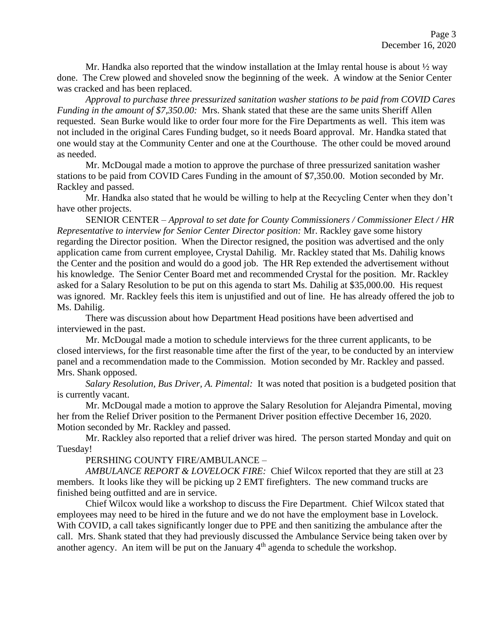Mr. Handka also reported that the window installation at the Imlay rental house is about  $\frac{1}{2}$  way done. The Crew plowed and shoveled snow the beginning of the week. A window at the Senior Center was cracked and has been replaced.

*Approval to purchase three pressurized sanitation washer stations to be paid from COVID Cares Funding in the amount of \$7,350.00:* Mrs. Shank stated that these are the same units Sheriff Allen requested. Sean Burke would like to order four more for the Fire Departments as well. This item was not included in the original Cares Funding budget, so it needs Board approval. Mr. Handka stated that one would stay at the Community Center and one at the Courthouse. The other could be moved around as needed.

Mr. McDougal made a motion to approve the purchase of three pressurized sanitation washer stations to be paid from COVID Cares Funding in the amount of \$7,350.00. Motion seconded by Mr. Rackley and passed.

Mr. Handka also stated that he would be willing to help at the Recycling Center when they don't have other projects.

SENIOR CENTER – *Approval to set date for County Commissioners / Commissioner Elect / HR Representative to interview for Senior Center Director position:* Mr. Rackley gave some history regarding the Director position. When the Director resigned, the position was advertised and the only application came from current employee, Crystal Dahilig. Mr. Rackley stated that Ms. Dahilig knows the Center and the position and would do a good job. The HR Rep extended the advertisement without his knowledge. The Senior Center Board met and recommended Crystal for the position. Mr. Rackley asked for a Salary Resolution to be put on this agenda to start Ms. Dahilig at \$35,000.00. His request was ignored. Mr. Rackley feels this item is unjustified and out of line. He has already offered the job to Ms. Dahilig.

There was discussion about how Department Head positions have been advertised and interviewed in the past.

Mr. McDougal made a motion to schedule interviews for the three current applicants, to be closed interviews, for the first reasonable time after the first of the year, to be conducted by an interview panel and a recommendation made to the Commission. Motion seconded by Mr. Rackley and passed. Mrs. Shank opposed.

*Salary Resolution, Bus Driver, A. Pimental:* It was noted that position is a budgeted position that is currently vacant.

Mr. McDougal made a motion to approve the Salary Resolution for Alejandra Pimental, moving her from the Relief Driver position to the Permanent Driver position effective December 16, 2020. Motion seconded by Mr. Rackley and passed.

Mr. Rackley also reported that a relief driver was hired. The person started Monday and quit on Tuesday!

PERSHING COUNTY FIRE/AMBULANCE –

*AMBULANCE REPORT & LOVELOCK FIRE:* Chief Wilcox reported that they are still at 23 members. It looks like they will be picking up 2 EMT firefighters. The new command trucks are finished being outfitted and are in service.

Chief Wilcox would like a workshop to discuss the Fire Department. Chief Wilcox stated that employees may need to be hired in the future and we do not have the employment base in Lovelock. With COVID, a call takes significantly longer due to PPE and then sanitizing the ambulance after the call. Mrs. Shank stated that they had previously discussed the Ambulance Service being taken over by another agency. An item will be put on the January 4<sup>th</sup> agenda to schedule the workshop.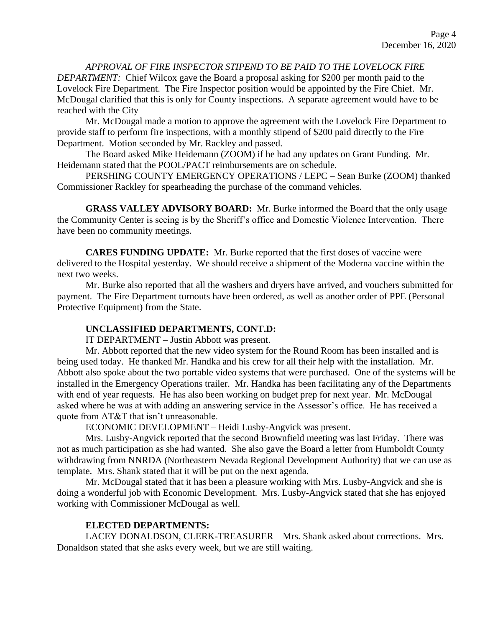*APPROVAL OF FIRE INSPECTOR STIPEND TO BE PAID TO THE LOVELOCK FIRE DEPARTMENT:* Chief Wilcox gave the Board a proposal asking for \$200 per month paid to the Lovelock Fire Department. The Fire Inspector position would be appointed by the Fire Chief. Mr. McDougal clarified that this is only for County inspections. A separate agreement would have to be reached with the City

Mr. McDougal made a motion to approve the agreement with the Lovelock Fire Department to provide staff to perform fire inspections, with a monthly stipend of \$200 paid directly to the Fire Department. Motion seconded by Mr. Rackley and passed.

The Board asked Mike Heidemann (ZOOM) if he had any updates on Grant Funding. Mr. Heidemann stated that the POOL/PACT reimbursements are on schedule.

PERSHING COUNTY EMERGENCY OPERATIONS / LEPC *–* Sean Burke (ZOOM) thanked Commissioner Rackley for spearheading the purchase of the command vehicles.

**GRASS VALLEY ADVISORY BOARD:** Mr. Burke informed the Board that the only usage the Community Center is seeing is by the Sheriff's office and Domestic Violence Intervention. There have been no community meetings.

**CARES FUNDING UPDATE:** Mr. Burke reported that the first doses of vaccine were delivered to the Hospital yesterday. We should receive a shipment of the Moderna vaccine within the next two weeks.

Mr. Burke also reported that all the washers and dryers have arrived, and vouchers submitted for payment. The Fire Department turnouts have been ordered, as well as another order of PPE (Personal Protective Equipment) from the State.

## **UNCLASSIFIED DEPARTMENTS, CONT.D:**

IT DEPARTMENT – Justin Abbott was present.

Mr. Abbott reported that the new video system for the Round Room has been installed and is being used today. He thanked Mr. Handka and his crew for all their help with the installation. Mr. Abbott also spoke about the two portable video systems that were purchased. One of the systems will be installed in the Emergency Operations trailer. Mr. Handka has been facilitating any of the Departments with end of year requests. He has also been working on budget prep for next year. Mr. McDougal asked where he was at with adding an answering service in the Assessor's office. He has received a quote from AT&T that isn't unreasonable.

ECONOMIC DEVELOPMENT – Heidi Lusby-Angvick was present.

Mrs. Lusby-Angvick reported that the second Brownfield meeting was last Friday. There was not as much participation as she had wanted. She also gave the Board a letter from Humboldt County withdrawing from NNRDA (Northeastern Nevada Regional Development Authority) that we can use as template. Mrs. Shank stated that it will be put on the next agenda.

Mr. McDougal stated that it has been a pleasure working with Mrs. Lusby-Angvick and she is doing a wonderful job with Economic Development. Mrs. Lusby-Angvick stated that she has enjoyed working with Commissioner McDougal as well.

# **ELECTED DEPARTMENTS:**

LACEY DONALDSON, CLERK-TREASURER – Mrs. Shank asked about corrections. Mrs. Donaldson stated that she asks every week, but we are still waiting.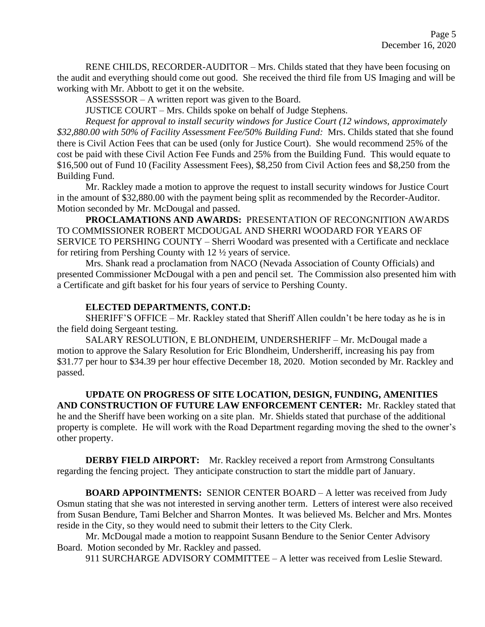RENE CHILDS, RECORDER-AUDITOR – Mrs. Childs stated that they have been focusing on the audit and everything should come out good. She received the third file from US Imaging and will be working with Mr. Abbott to get it on the website.

ASSESSSOR – A written report was given to the Board.

JUSTICE COURT – Mrs. Childs spoke on behalf of Judge Stephens.

*Request for approval to install security windows for Justice Court (12 windows, approximately \$32,880.00 with 50% of Facility Assessment Fee/50% Building Fund:* Mrs. Childs stated that she found there is Civil Action Fees that can be used (only for Justice Court). She would recommend 25% of the cost be paid with these Civil Action Fee Funds and 25% from the Building Fund. This would equate to \$16,500 out of Fund 10 (Facility Assessment Fees), \$8,250 from Civil Action fees and \$8,250 from the Building Fund.

Mr. Rackley made a motion to approve the request to install security windows for Justice Court in the amount of \$32,880.00 with the payment being split as recommended by the Recorder-Auditor. Motion seconded by Mr. McDougal and passed.

**PROCLAMATIONS AND AWARDS:** PRESENTATION OF RECONGNITION AWARDS TO COMMISSIONER ROBERT MCDOUGAL AND SHERRI WOODARD FOR YEARS OF SERVICE TO PERSHING COUNTY – Sherri Woodard was presented with a Certificate and necklace for retiring from Pershing County with 12 ½ years of service.

Mrs. Shank read a proclamation from NACO (Nevada Association of County Officials) and presented Commissioner McDougal with a pen and pencil set. The Commission also presented him with a Certificate and gift basket for his four years of service to Pershing County.

# **ELECTED DEPARTMENTS, CONT.D:**

SHERIFF'S OFFICE – Mr. Rackley stated that Sheriff Allen couldn't be here today as he is in the field doing Sergeant testing.

SALARY RESOLUTION, E BLONDHEIM, UNDERSHERIFF – Mr. McDougal made a motion to approve the Salary Resolution for Eric Blondheim, Undersheriff, increasing his pay from \$31.77 per hour to \$34.39 per hour effective December 18, 2020. Motion seconded by Mr. Rackley and passed.

**UPDATE ON PROGRESS OF SITE LOCATION, DESIGN, FUNDING, AMENITIES AND CONSTRUCTION OF FUTURE LAW ENFORCEMENT CENTER:** Mr. Rackley stated that he and the Sheriff have been working on a site plan. Mr. Shields stated that purchase of the additional property is complete. He will work with the Road Department regarding moving the shed to the owner's other property.

**DERBY FIELD AIRPORT:** Mr. Rackley received a report from Armstrong Consultants regarding the fencing project. They anticipate construction to start the middle part of January.

**BOARD APPOINTMENTS:** SENIOR CENTER BOARD – A letter was received from Judy Osmun stating that she was not interested in serving another term. Letters of interest were also received from Susan Bendure, Tami Belcher and Sharron Montes. It was believed Ms. Belcher and Mrs. Montes reside in the City, so they would need to submit their letters to the City Clerk.

Mr. McDougal made a motion to reappoint Susann Bendure to the Senior Center Advisory Board. Motion seconded by Mr. Rackley and passed.

911 SURCHARGE ADVISORY COMMITTEE – A letter was received from Leslie Steward.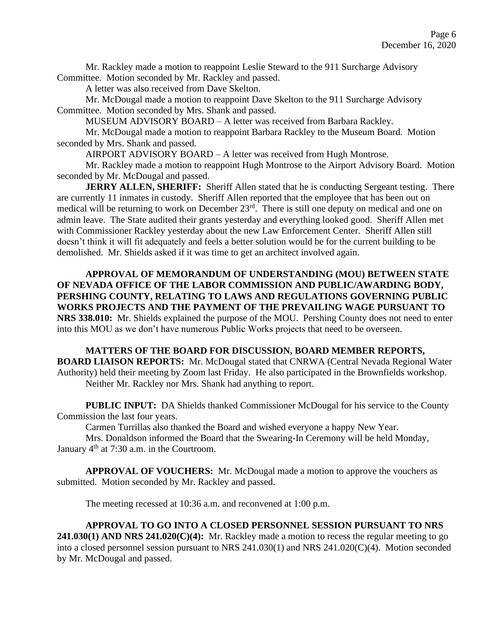Mr. Rackley made a motion to reappoint Leslie Steward to the 911 Surcharge Advisory Committee. Motion seconded by Mr. Rackley and passed.

A letter was also received from Dave Skelton.

Mr. McDougal made a motion to reappoint Dave Skelton to the 911 Surcharge Advisory Committee. Motion seconded by Mrs. Shank and passed.

MUSEUM ADVISORY BOARD – A letter was received from Barbara Rackley.

Mr. McDougal made a motion to reappoint Barbara Rackley to the Museum Board. Motion seconded by Mrs. Shank and passed.

AIRPORT ADVISORY BOARD – A letter was received from Hugh Montrose.

Mr. Rackley made a motion to reappoint Hugh Montrose to the Airport Advisory Board. Motion seconded by Mr. McDougal and passed.

**JERRY ALLEN, SHERIFF:** Sheriff Allen stated that he is conducting Sergeant testing. There are currently 11 inmates in custody. Sheriff Allen reported that the employee that has been out on medical will be returning to work on December 23<sup>rd</sup>. There is still one deputy on medical and one on admin leave. The State audited their grants yesterday and everything looked good. Sheriff Allen met with Commissioner Rackley yesterday about the new Law Enforcement Center. Sheriff Allen still doesn't think it will fit adequately and feels a better solution would be for the current building to be demolished. Mr. Shields asked if it was time to get an architect involved again.

**APPROVAL OF MEMORANDUM OF UNDERSTANDING (MOU) BETWEEN STATE OF NEVADA OFFICE OF THE LABOR COMMISSION AND PUBLIC/AWARDING BODY, PERSHING COUNTY, RELATING TO LAWS AND REGULATIONS GOVERNING PUBLIC WORKS PROJECTS AND THE PAYMENT OF THE PREVAILING WAGE PURSUANT TO NRS 338.010:** Mr. Shields explained the purpose of the MOU. Pershing County does not need to enter into this MOU as we don't have numerous Public Works projects that need to be overseen.

**MATTERS OF THE BOARD FOR DISCUSSION, BOARD MEMBER REPORTS, BOARD LIAISON REPORTS:** Mr. McDougal stated that CNRWA (Central Nevada Regional Water Authority) held their meeting by Zoom last Friday. He also participated in the Brownfields workshop. Neither Mr. Rackley nor Mrs. Shank had anything to report.

**PUBLIC INPUT:** DA Shields thanked Commissioner McDougal for his service to the County Commission the last four years.

Carmen Turrillas also thanked the Board and wished everyone a happy New Year.

Mrs. Donaldson informed the Board that the Swearing-In Ceremony will be held Monday, January  $4<sup>th</sup>$  at 7:30 a.m. in the Courtroom.

**APPROVAL OF VOUCHERS:** Mr. McDougal made a motion to approve the vouchers as submitted. Motion seconded by Mr. Rackley and passed.

The meeting recessed at 10:36 a.m. and reconvened at 1:00 p.m.

### **APPROVAL TO GO INTO A CLOSED PERSONNEL SESSION PURSUANT TO NRS**

**241.030(1) AND NRS 241.020(C)(4):** Mr. Rackley made a motion to recess the regular meeting to go into a closed personnel session pursuant to NRS 241.030(1) and NRS 241.020(C)(4). Motion seconded by Mr. McDougal and passed.